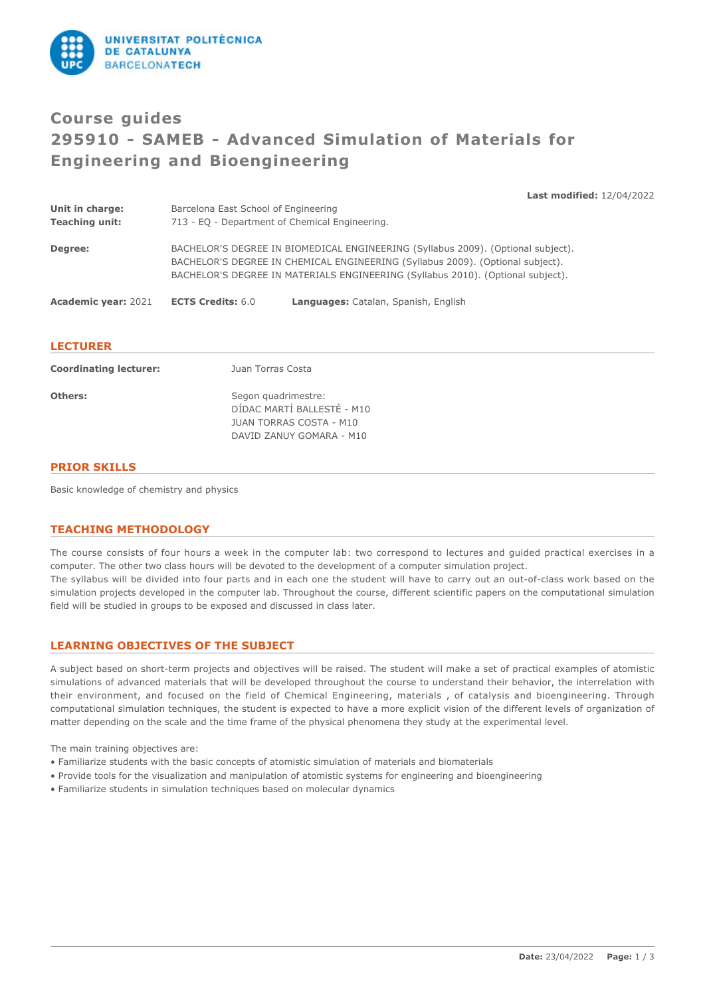

# **Course guides 295910 - SAMEB - Advanced Simulation of Materials for Engineering and Bioengineering**

**Last modified:** 12/04/2022

| Unit in charge:<br><b>Teaching unit:</b> | Barcelona East School of Engineering<br>713 - EQ - Department of Chemical Engineering. |                                                                                                                                                                                                                                                       |
|------------------------------------------|----------------------------------------------------------------------------------------|-------------------------------------------------------------------------------------------------------------------------------------------------------------------------------------------------------------------------------------------------------|
| Degree:                                  |                                                                                        | BACHELOR'S DEGREE IN BIOMEDICAL ENGINEERING (Syllabus 2009). (Optional subject).<br>BACHELOR'S DEGREE IN CHEMICAL ENGINEERING (Syllabus 2009). (Optional subject).<br>BACHELOR'S DEGREE IN MATERIALS ENGINEERING (Syllabus 2010). (Optional subject). |
| <b>Academic year: 2021</b>               | <b>ECTS Credits: 6.0</b>                                                               | Languages: Catalan, Spanish, English                                                                                                                                                                                                                  |
|                                          |                                                                                        |                                                                                                                                                                                                                                                       |

## **LECTURER**

| <b>Coordinating lecturer:</b> | Juan Torras Costa                                                                                        |
|-------------------------------|----------------------------------------------------------------------------------------------------------|
| Others:                       | Segon quadrimestre:<br>DÍDAC MARTÍ BALLESTÉ - M10<br>JUAN TORRAS COSTA - M10<br>DAVID ZANUY GOMARA - M10 |

## **PRIOR SKILLS**

Basic knowledge of chemistry and physics

## **TEACHING METHODOLOGY**

The course consists of four hours a week in the computer lab: two correspond to lectures and guided practical exercises in a computer. The other two class hours will be devoted to the development of a computer simulation project. The syllabus will be divided into four parts and in each one the student will have to carry out an out-of-class work based on the simulation projects developed in the computer lab. Throughout the course, different scientific papers on the computational simulation field will be studied in groups to be exposed and discussed in class later.

## **LEARNING OBJECTIVES OF THE SUBJECT**

A subject based on short-term projects and objectives will be raised. The student will make a set of practical examples of atomistic simulations of advanced materials that will be developed throughout the course to understand their behavior, the interrelation with their environment, and focused on the field of Chemical Engineering, materials , of catalysis and bioengineering. Through computational simulation techniques, the student is expected to have a more explicit vision of the different levels of organization of matter depending on the scale and the time frame of the physical phenomena they study at the experimental level.

The main training objectives are:

- Familiarize students with the basic concepts of atomistic simulation of materials and biomaterials
- Provide tools for the visualization and manipulation of atomistic systems for engineering and bioengineering
- Familiarize students in simulation techniques based on molecular dynamics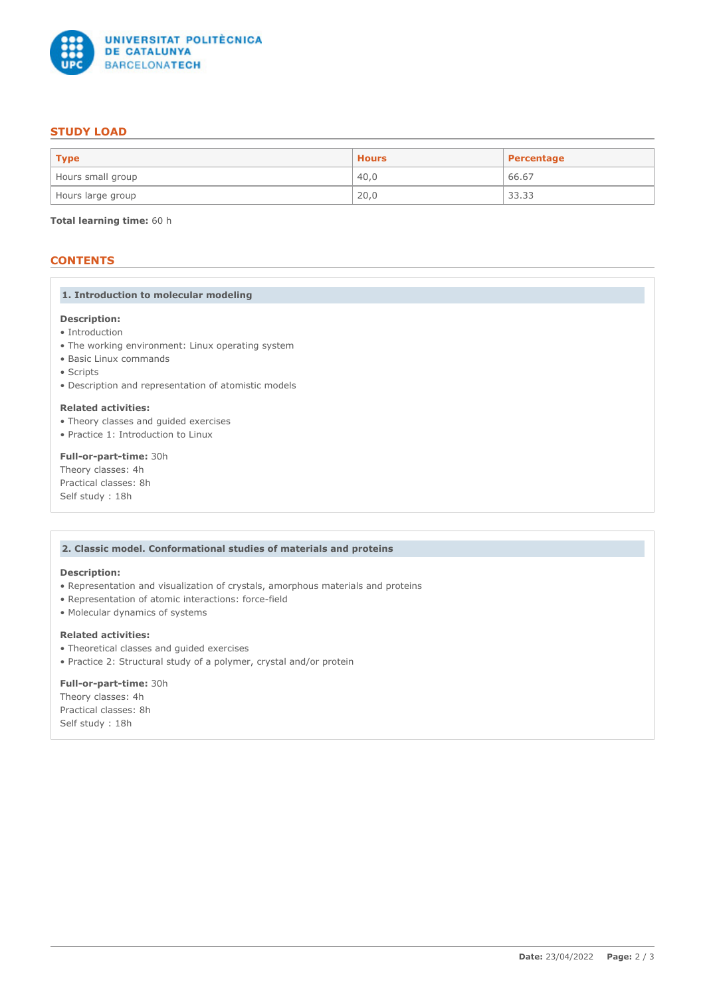

## **STUDY LOAD**

| $ $ Type          | <b>Hours</b> | <b>Percentage</b> |
|-------------------|--------------|-------------------|
| Hours small group | 40.0         | 66.67             |
| Hours large group | 20,0         | 33.33             |

**Total learning time:** 60 h

# **CONTENTS**

## **1. Introduction to molecular modeling**

# **Description:**

- Introduction
- The working environment: Linux operating system
- Basic Linux commands
- Scripts
- Description and representation of atomistic models

## **Related activities:**

- Theory classes and guided exercises
- Practice 1: Introduction to Linux

## **Full-or-part-time:** 30h

Theory classes: 4h Practical classes: 8h Self study : 18h

## **2. Classic model. Conformational studies of materials and proteins**

#### **Description:**

- Representation and visualization of crystals, amorphous materials and proteins
- Representation of atomic interactions: force-field
- Molecular dynamics of systems

## **Related activities:**

- Theoretical classes and guided exercises
- Practice 2: Structural study of a polymer, crystal and/or protein

## **Full-or-part-time:** 30h

Theory classes: 4h Practical classes: 8h Self study : 18h